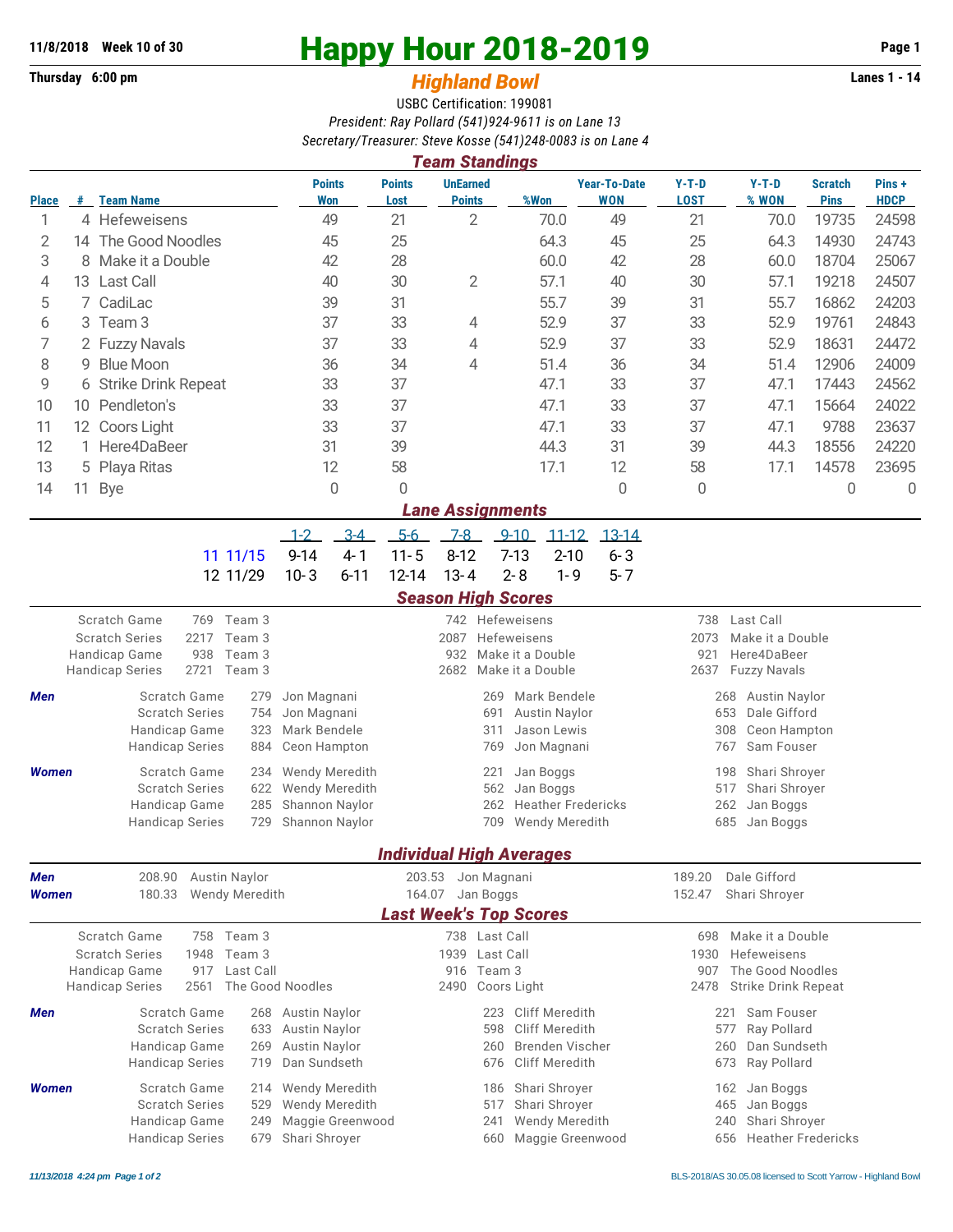## **Thursday 6:00 pm** *Highland Bowl*

## **11/8/2018** Week 10 of 30<br>
Thursday 6:00 pm<br> **Happy Hour 2018-2019 Page 1**<br> **Highland Rowl**

## USBC Certification: 199081 *President: Ray Pollard (541)924-9611 is on Lane 13 Secretary/Treasurer: Steve Kosse (541)248-0083 is on Lane 4*

| <b>Team Standings</b>   |                                 |                                                                           |                                  |                                                      |                                                      |                       |           |                                                   |                                    |                                                |                               |                      |  |  |
|-------------------------|---------------------------------|---------------------------------------------------------------------------|----------------------------------|------------------------------------------------------|------------------------------------------------------|-----------------------|-----------|---------------------------------------------------|------------------------------------|------------------------------------------------|-------------------------------|----------------------|--|--|
| <b>Place</b>            |                                 | # Team Name                                                               | <b>Points</b><br><b>Won</b>      | <b>Points</b><br>Lost                                | <b>UnEarned</b><br><b>Points</b>                     | %Won                  |           | <b>Year-To-Date</b><br><b>WON</b>                 | $Y-T-D$<br><b>LOST</b>             | $Y-T-D$<br>% WON                               | <b>Scratch</b><br><b>Pins</b> | Pins+<br><b>HDCP</b> |  |  |
| 1                       |                                 | 4 Hefeweisens                                                             | 49                               | 21                                                   | $\overline{2}$                                       | 70.0                  |           | 49                                                | 21                                 | 70.0                                           | 19735                         | 24598                |  |  |
| 2                       |                                 | 14 The Good Noodles                                                       | 45                               | 25                                                   |                                                      | 64.3                  |           | 45                                                | 25                                 | 64.3                                           | 14930                         | 24743                |  |  |
| 3                       | 8                               | Make it a Double<br>42                                                    |                                  | 28                                                   |                                                      | 60.0                  |           | 42                                                | 28                                 | 60.0                                           | 18704                         | 25067                |  |  |
| 4                       | 13                              | <b>Last Call</b><br>40                                                    |                                  | 30                                                   | $\overline{2}$                                       | 57.1                  |           | 40                                                | 30                                 | 57.1                                           | 19218                         | 24507                |  |  |
| 5                       |                                 | 7 CadiLac                                                                 | 39                               |                                                      |                                                      | 55.7                  |           | 39                                                | 31                                 | 55.7                                           | 16862                         | 24203                |  |  |
| 6                       | 3 Team 3                        |                                                                           | 37                               | 33                                                   | 4                                                    | 52.9                  |           | 37                                                | 33                                 | 52.9                                           | 19761                         | 24843                |  |  |
| 7                       | 2 Fuzzy Navals                  |                                                                           | 37                               | 33                                                   | 4                                                    | 52.9                  |           | 37                                                | 33<br>52.9                         |                                                | 18631                         | 24472                |  |  |
|                         | 9 Blue Moon<br>8                |                                                                           | 36                               | 34                                                   | $\overline{4}$                                       | 51.4                  |           | 36                                                | 34                                 | 51.4                                           | 12906                         | 24009                |  |  |
|                         | 9<br>6 Strike Drink Repeat      |                                                                           | 33                               | 37                                                   |                                                      | 47.1                  |           | 33                                                | 37                                 | 47.1                                           | 17443                         | 24562                |  |  |
| 10                      | 10                              | Pendleton's                                                               | 33                               | 37                                                   |                                                      | 47.1                  |           | 33                                                | 37                                 | 47.1                                           | 15664                         | 24022                |  |  |
| 11                      |                                 | 12 Coors Light                                                            | 33                               | 37                                                   |                                                      | 47.1                  |           | 33                                                | 37                                 | 47.1                                           | 9788                          | 23637                |  |  |
| 12                      |                                 | 1 Here4DaBeer<br>31<br>12                                                 |                                  | 39                                                   |                                                      | 44.3                  |           | 31                                                | 39                                 | 44.3                                           | 18556                         | 24220                |  |  |
| 13                      |                                 | 5 Playa Ritas                                                             |                                  | 58                                                   |                                                      | 17.1                  |           | 12                                                | 58                                 | 17.1                                           | 14578                         | 23695                |  |  |
| 14                      | $\overline{0}$<br>11<br>Bye     |                                                                           |                                  | 0                                                    |                                                      |                       |           | 0                                                 | 0                                  |                                                | 0                             | $\mathsf 0$          |  |  |
| <b>Lane Assignments</b> |                                 |                                                                           |                                  |                                                      |                                                      |                       |           |                                                   |                                    |                                                |                               |                      |  |  |
|                         |                                 |                                                                           | $3-4$<br>$1 - 2$                 | $5-6$                                                | $7 - 8$                                              | $9 - 10$              | $11 - 12$ | $13-14$                                           |                                    |                                                |                               |                      |  |  |
|                         |                                 | 11 11/15                                                                  | $9 - 14$<br>$4 - 1$              | $11 - 5$                                             | $8 - 12$                                             | $7-13$                | $2 - 10$  | $6 - 3$                                           |                                    |                                                |                               |                      |  |  |
|                         |                                 | 12 11/29                                                                  | $10 - 3$<br>$6 - 11$             | 12-14                                                | $13 - 4$                                             | $2 - 8$               | $1 - 9$   | $5 - 7$                                           |                                    |                                                |                               |                      |  |  |
|                         |                                 |                                                                           |                                  |                                                      | <b>Season High Scores</b>                            |                       |           |                                                   |                                    |                                                |                               |                      |  |  |
|                         |                                 | Scratch Game<br>769 Team 3                                                |                                  |                                                      |                                                      | 742 Hefeweisens       |           |                                                   | Last Call<br>738                   |                                                |                               |                      |  |  |
|                         |                                 | <b>Scratch Series</b><br>2217<br>Team 3<br>938<br>Team 3<br>Handicap Game |                                  |                                                      | 2087<br>Hefeweisens<br>932<br>Make it a Double       |                       |           |                                                   |                                    | 2073<br>Make it a Double<br>921<br>Here4DaBeer |                               |                      |  |  |
|                         |                                 | 2721<br>Team 3<br><b>Handicap Series</b>                                  |                                  |                                                      | 2682                                                 | Make it a Double      |           | 2637<br><b>Fuzzy Navals</b>                       |                                    |                                                |                               |                      |  |  |
| Men                     |                                 | Scratch Game<br>279                                                       | Jon Magnani                      |                                                      | 269                                                  | Mark Bendele          |           |                                                   | 268 Austin Naylor                  |                                                |                               |                      |  |  |
|                         |                                 | <b>Scratch Series</b><br>754                                              | Jon Magnani                      |                                                      | <b>Austin Naylor</b><br>691                          |                       |           |                                                   |                                    | 653<br>Dale Gifford                            |                               |                      |  |  |
|                         |                                 | Handicap Game<br>323                                                      | Mark Bendele                     |                                                      | 311                                                  | Jason Lewis           |           |                                                   |                                    | 308<br>Ceon Hampton                            |                               |                      |  |  |
|                         |                                 | <b>Handicap Series</b><br>884                                             | Ceon Hampton                     |                                                      | Jon Magnani<br>769                                   |                       |           |                                                   |                                    | Sam Fouser<br>767                              |                               |                      |  |  |
| <b>Women</b>            |                                 | Scratch Game<br>234                                                       | <b>Wendy Meredith</b>            |                                                      | Jan Boggs<br>221                                     |                       |           |                                                   |                                    | Shari Shroyer<br>198                           |                               |                      |  |  |
|                         |                                 | <b>Scratch Series</b><br>622<br>285                                       | Wendy Meredith                   |                                                      | 562<br>Jan Boggs<br>262<br><b>Heather Fredericks</b> |                       |           |                                                   |                                    | 517<br>Shari Shroyer<br>262<br>Jan Boggs       |                               |                      |  |  |
|                         |                                 | Handicap Game<br>729<br><b>Handicap Series</b>                            | Shannon Naylor<br>Shannon Naylor |                                                      | 709                                                  | <b>Wendy Meredith</b> |           |                                                   | 685<br>Jan Boggs                   |                                                |                               |                      |  |  |
|                         |                                 |                                                                           |                                  |                                                      |                                                      |                       |           |                                                   |                                    |                                                |                               |                      |  |  |
|                         | <b>Individual High Averages</b> |                                                                           |                                  |                                                      |                                                      |                       |           |                                                   |                                    |                                                |                               |                      |  |  |
| <b>Men</b>              |                                 | 208.90<br>Austin Naylor                                                   |                                  | 203.53                                               | Jon Magnani                                          |                       |           | Dale Gifford<br>189.20<br>152.47<br>Shari Shroyer |                                    |                                                |                               |                      |  |  |
| <b>Women</b>            |                                 | 180.33<br>Wendy Meredith                                                  |                                  | Jan Boggs<br>164.07<br><b>Last Week's Top Scores</b> |                                                      |                       |           |                                                   |                                    |                                                |                               |                      |  |  |
|                         |                                 |                                                                           |                                  |                                                      |                                                      |                       |           |                                                   |                                    |                                                |                               |                      |  |  |
|                         |                                 | Scratch Game<br>758 Team 3<br>Team 3<br><b>Scratch Series</b><br>1948     |                                  | 738 Last Call<br>1939 Last Call                      |                                                      |                       |           |                                                   |                                    | Make it a Double<br>698<br>Hefeweisens<br>1930 |                               |                      |  |  |
|                         |                                 | Last Call<br>Handicap Game<br>917                                         |                                  | 916 Team 3                                           |                                                      |                       |           | 907                                               | The Good Noodles                   |                                                |                               |                      |  |  |
|                         |                                 | <b>Handicap Series</b><br>2561<br>The Good Noodles                        |                                  | Coors Light<br>2490                                  |                                                      |                       |           |                                                   | <b>Strike Drink Repeat</b><br>2478 |                                                |                               |                      |  |  |
| Men                     |                                 | Scratch Game                                                              | 268 Austin Naylor                |                                                      | 223                                                  | Cliff Meredith        |           |                                                   | Sam Fouser<br>221                  |                                                |                               |                      |  |  |
|                         |                                 | <b>Scratch Series</b><br>633                                              | Austin Naylor                    | 598<br>Cliff Meredith                                |                                                      |                       |           |                                                   |                                    | Ray Pollard<br>577                             |                               |                      |  |  |
|                         |                                 | Handicap Game<br><b>Austin Naylor</b><br>269<br>Dan Sundseth              |                                  |                                                      | Brenden Vischer<br>260                               |                       |           |                                                   |                                    | 260<br>Dan Sundseth                            |                               |                      |  |  |
|                         |                                 | <b>Handicap Series</b><br>719                                             |                                  | Cliff Meredith<br>676                                |                                                      |                       |           |                                                   | 673<br>Ray Pollard                 |                                                |                               |                      |  |  |
| <b>Women</b>            |                                 | Scratch Game<br><b>Wendy Meredith</b><br>214<br>Wendy Meredith            |                                  |                                                      | Shari Shroyer<br>186                                 |                       |           |                                                   |                                    | Jan Boggs<br>162                               |                               |                      |  |  |
|                         |                                 | <b>Scratch Series</b><br>529                                              |                                  | 517                                                  | Shari Shroyer                                        |                       |           | 465<br>Jan Boggs<br>Shari Shroyer                 |                                    |                                                |                               |                      |  |  |
|                         |                                 | Handicap Game<br>249<br><b>Handicap Series</b><br>679                     | Maggie Greenwood                 | 241<br>660                                           | Wendy Meredith<br>Maggie Greenwood                   |                       |           | 240<br><b>Heather Fredericks</b><br>656           |                                    |                                                |                               |                      |  |  |
|                         |                                 |                                                                           | Shari Shroyer                    |                                                      |                                                      |                       |           |                                                   |                                    |                                                |                               |                      |  |  |